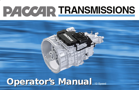# **DACCAR TRANSMISSIONS**

# **Operator's Manual 12 Speed**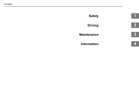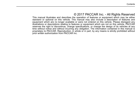# © 2017 PACCAR Inc. - All Rights Reserved

This manual illustrates and describes the operation of features or equipment which may be either standard or optional on this vehicle. This manual may also include a description of features and equipment which are no longer available or were not ordered on this vehicle. Please disregard any illustrations or descriptions relating to features or equipment which are not on this vehicle. PACCAR reserves the right to discontinue, change specifications, or change the design of its vehicles at any time without notice and without incurring any obligation. The information contained in this manual is proprietary to PACCAR. Reproduction, in whole or in part, by any means is strictly prohibited without prior written authorization from PACCAR Inc.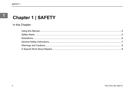# **Chapter 1 | SAFETY**

In this Chapter: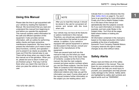### **Using this Manual**

Please take the time to get acquainted with your vehicle by reading this Operator's Manual. We recommend that you read and understand this manual from beginning to end before you operate this equipment. This manual contains useful information for the safe and efficient operation of this equipment. It also provides service information, with an outline for performing safety checks and basic preventive maintenance inspections. We have tried to present the information you'll need to learn about functions, controls, and operation and to present it as clearly as possible. We hope you'll find this manual easy to use. There will be times when you need to take this manual out of the glovebox. When you do, please be sure to return it when you are finished using it. That way it will be there when you need it the next time or when you pass the vehicle on to the next user.

# **NOTE**

After you've read this manual, it should be stored in the cab for convenient reference and remain with this truck when sold.

Your vehicle may not have all the features or options mentioned in this manual. Therefore, you should pay careful attention to the instructions that pertain to just your vehicle. In addition, if your vehicle is equipped with special equipment or options not discussed in this manual, consult your dealer or the manufacturer of the equipment.

There are several tools built into this manual to help you find what you need quickly and easily. First is the Quick Table of Contents. Located at the front of the manual, this lists the main subjects covered and gives section numbers where you can find these subjects. Use the Quick Table of Contents to find information on a large subject like "Maintenance." Crossreferenced citations also help you get the information you need. If some other part of the manual contains further information on the subject you are reading about, we'll

indicate that in a cross-reference like this: (See *Safety Alerts* on page 5). You won't have to go searching for more information. Finally you'll find a helpful Subject Index. It's in the back of the manual and alphabetically lists the subjects covered. So if you want information on brakes, for example, just look under Brake in the Subject Index. You'll find all the pages listed where brakes or braking are discussed.

All information contained in this manual is based on the latest production information available at the time of publication. Kenworth Truck Company Peterbilt Motors Company reserves the right to make changes at any time without notice.

### **Safety Alerts**

Please read and follow all of the safety alerts contained in this manual. They are there for your protection and information. These alerts can help you avoid injury to yourself, your passengers and help prevent costly damage to the vehicle. Safety alerts are highlighted by safety alert symbols and signal words such as "WARNING",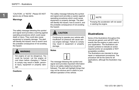"CAUTION", or "NOTE". Please DO NOT ignore any of these alerts.

**Warnings**



The safety message following this symbol and signal word provides a warning against operating procedures which could cause death or injury. They could also cause equipment or property damage. The alert will identify the hazard, how to avoid it and the probable consequence of not avoiding the hazard.



Hot engine oil can be dangerous. You could be burned. Let the engine oil cool down before changing it. Failure to comply may result in death, personal injury, equipment or property damage.

#### **Cautions**



The safety message following this symbol and signal word provides a caution against operating procedures which could cause equipment or property damage. The alert will identify the hazard, how to avoid it, and the probable consequence of not avoiding the hazard.

# **CAUTION**

Continuing to operate your vehicle with insufficient oil pressure will cause serious engine damage. Failure to comply may result in equipment or property damage.

#### **Notes**



The message following this symbol and signal word provides important information that is not safety related but should be followed. The alert will highlight things that may not be obvious and is useful to your efficient operation of the vehicle.

# **NOTE**

Pumping the accelerator will not assist in starting the engine.

# **Illustrations**

Some of the illustrations throughout this manual are generic and will NOT look exactly like the engine or parts used in your application. The illustrations can contain symbols to indicate an action required and\or an acceptable or NOT acceptable condition.

The illustrations are intended to show repair or replacement procedures. The procedure will be the same for all applications, although the illustration may differ.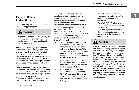### **General Safety Instructions**

Important safety notices about operating and servicing your engine.

# **WARNING**

Improper practices, carelessness, or ignoring any warnings may cause death, personal injury, equipment or property damage.

Before performing any repair, read and understand all of the safety precautions and warnings. The following is a list of general safety precautions that must be followed to provide personal safety. Failure to follow these instructions may cause death or injury. Special safety precautions are included in the procedures when they apply.

Keep in mind that even a well maintained vehicle must be operated within the range of its mechanical capabilities and the limits of its load ratings. See the Weight Ratings label on the driver's door edge. Every new vehicle is designed to conform to all Federal Motor Vehicle Safety

Standards applicable at the time of manufacture. Even with these safety features, continued safe and reliable operation depends greatly upon regular vehicle maintenance. Follow the maintenance recommendations found in Preventive Maintenance section. This will help preserve your investment. Make sure your vehicle is in top working condition before heading out on the road, it is the responsible driver's duty to do so. Inspect the vehicle according to the Driver's Check List.

- Use the proper tool for manually rotating the engine. DO NOT attempt to rotate the crankshaft by pulling or prying on the fan. This practice can cause death, personal injury, equipment damage, or damage to the fan blades, causing premature fan failure.
- Work areas should be dry, well lit, well ventilated, free from clutter, loose tools, parts, ignition sources and hazardous substances.
- Wear protective glasses and protective shoes when working.
- DO NOT wear loose-fitting or torn clothing. Tie back and/or tuck in long hair. Remove all jewelry when working.
- Before beginning any repair, disconnect the battery (negative [-] cable) and discharge any capacitors.
- Put a "DO NOT OPERATE" tag in the operator's compartment or on the controls.
- Allow the engine to cool before slowly loosening the coolant filler cap to relieve the pressure from the cooling system.

# **WARNING**

Removing the fill cap on a hot engine can cause scalding coolant to spray out and burn you badly. If the engine has been in operation within the previous 30 minutes, be very careful in removing the fill cap. Protect face, hands, and arms against escaping fluid and steam by covering the cap with a large, thick rag. DO NOT try to remove it until the surge tank cools down or if you see any steam or coolant escaping. In any situation, remove the cap very slowly and carefully. Be ready to back off if any steam or coolant begins to escape.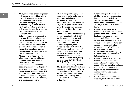- Always use wheel chocks or proper jack stands to support the vehicle or vehicle components before performing any service work. DO NOT work on anything that is supported only by lifting jacks or a hoist. Before resting a vehicle on jack stands, be sure the stands are rated for the load you will be placing on them.
- Before removing or disconnecting any lines, fittings, or related items, relieve all pressure in the air, oil, fuel, and cooling systems. Remain alert for possible pressure when disconnecting any device from a system that contains pressure. High pressure oil or fuel can cause death or personal injury.
- Always wear protective clothing when working on any refrigerant lines and make sure that the workplace is well ventilated. Inhalation of fumes can cause death or personal injury. To protect the environment, liquid refrigerant systems must be properly emptied and filled using equipment that prevents the release of refrigerant gas. Federal law requires capturing and recycling refrigerant.
- When moving or lifting any heavy equipment or parts, make sure to use proper techniques and assistance. Ensure all lifting devices such as chains, hooks, or slings are in good condition and are of the correct load capacity. Make sure all lifting devices are positioned correctly.
	- Corrosion inhibitors and lubricating oils may contain alkali. DO NOT get the substance in eyes and avoid prolonged or repeated contact with skin. DO NOT swallow. If ingested, seek immediate medical attention. DO NOT induce vomiting. In case of contact, immediately wash skin with soap and water. In case of harmful contact, immediately contact a physician. Always keep any chemicals OUT OF REACH OF CHILDREN.
- Naptha and Methyl Ethyl Ketone (MEK) are flammable materials and must be used with caution. Follow the manufacturer's instructions to ensure safety when using these materials. Always keep any chemicals OUT OF REACH OF CHII DREN
- When working on the vehicle, be alert for hot parts on systems that have just been turned off, exhaust gas flow, and hot fluids in lines, tubes, and compartments. Contact with any hot surface may cause burns.
- Always use tools that are in good condition. Make sure you have the proper understanding of how to use the tools before performing any service work. Use only genuine replacement parts from PACCAR.
- Always use the same fastener part number (or equivalent) when replacing items. DO NOT use a fastener of lesser quality if replacements are necessary. (e.g., Do not replace a 10.9 grade with 8.8 grade fastener.)
- Always torque fasteners and fuel connections to the required specifications. Overtightening or under-tightening can allow leakage.
- Close the manual fuel valves prior to performing maintenance and repairs, and when storing the vehicle inside.
- DO NOT perform any repair when impaired, tired, fatigued or after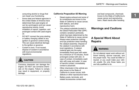consuming alcohol or drugs that can impair your functioning.

- Some state and federal agencies in the United States of America have determined that used engine oil can be carcinogenic and can cause reproductive toxicity. Avoid inhalation of vapors, ingestion, and prolonged contact with used engine oil.
- DO NOT connect the jump starting or battery charging cables to any ignition or governor control wiring. This can cause electrical damage to the ignition or governor.
- Coolant is toxic. If not reused dispose of coolant in accordance with local environmental regulations.

# **CAUTION**

Corrosive chemicals can damage the engine. DO NOT use corrosive chemicals on the engine. Failure to comply may result in equipment, or property damage.

#### **California Proposition 65 Warning**

- Diesel engine exhaust and some of its constituents are known to the State of California to cause cancer, birth defects, and other reproductive harm.
- The catalyst substrate located in the Diesel Particulate Filter (DPF) contains vanadium pentoxide, which has been determined by the State of California to cause cancer. Always wear protective clothing and eye protection when handling the catalyst assembly. Dispose of the catalyst in accordance with local regulations. If catalyst material gets into the eyes, immediately flood eyes with water for a minimum of 15 minutes. Avoid prolonged contact with skin. In case of contact, immediately wash skin with soap and water. In case of harmful contact, immediately contact a physician.
- Other chemicals in this vehicle are also known to the State of California to cause cancer, birth defects or other reproductive harm.
- Battery posts, terminals, and related accessories contain lead

and lead compounds, chemicals known to the State of California to cause cancer and reproductive harm. Wash hands after handling.

# **Warnings and Cautions**

# **A Special Word About Repairs**



Do not attempt repair work without sufficient training, service manuals, and the proper tools. You could be killed or injured, or you could make your vehicle unsafe. Do only those tasks you are fully qualified to do.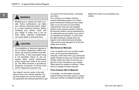# **WARNING**

Modifying your vehicle can make it unsafe. Some modifications can affect your vehicle's electrical system, stability, or other important functions. Before modifying your vehicle, check with your dealer to make sure it can be done safely. Improper modifications can cause death or personal injury.

# **CAUTION**

The installation of electronic devices to the On Board Diagnostics (OBD) connector, the vehicle Controller Area Network (CAN), or their associated wiring is not permitted. Doing so can adversely affect vehicle performance and/or cause fault codes to be recorded. The OBD connector is provided for temporary connection of service tools and for diagnostic purposes only.

Your dealer's service center is the best place to have your vehicle repaired. You can find dealers all over the country with the equipment and trained personnel to get

you back on the road quickly—and keep you there.

Your vehicle is a complex machine. Anyone attempting repairs on it needs good mechanical training and the proper tools. If you are sure you have these requirements, then you can probably perform some repairs yourself. However, all warranty repairs must be performed by an authorized service facility. If you aren't an experienced mechanic, or don't have the right equipment, please leave all repairs to an authorized service facility. They are the ones equipped to do the job safely and correctly.

#### **Maintenance Manuals**

If you do decide to do any complex repair work, you'll need the maintenance manuals. Order them from your authorized dealer. Please provide your Chassis Serial Number when you order, to be sure you get the correct manuals for your vehicle. Allow about four weeks for delivery. There will be a charge for these manuals.

#### **Final Chassis Bill of Material**

A complete, non-illustrated computer printout listing of the parts used to custombuild your vehicle is available through the

dealer from whom you purchased your vehicle.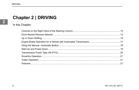# **Chapter 2 | DRIVING**

In this Chapter:

 $\overline{\mathbf{2}}$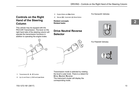For Kenworth Vehicles

# **Controls on the Right Hand of the Steering Column**

This vehicle may be equiped with the PACCAR Transmission. The lever on the right hand side of the steering column will operate the transmission functions in addition to operating the engine brake.

- **3** Engine Brake and **Max** Mode
- **4** Manual (**M**) / Automatic (**A**) Mode Button

**Related concepts Related tasks**

# **Drive Neutral Reverse Selector**

#### For Peterbilt Vehicles





- **1** Transmission **D N R** Function
- **2** Up (**+**) and Down (**-**) Shift and **Low** Mode

Transmission mode is selected by rotating the lever's outer knob. There is a detent for **D**rive, **N**eutral, **R**everse. The instrument cluster will display the corresponding mode.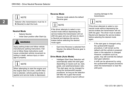# **NOTE**

Selector (the transmission) must be in **N** (Neutral) to start the truck.

#### **Neutral Mode**

- Selects Neutral.
- Initial Gear position after Start-Up.

# **WARNING**

Apply parking brake and follow vehicle manufacturer parking instructions. Failure to follow these instructions could cause unintended vehicle movement resulting in death, serious injury or damage to property.

# NOTE

When attempting to start the engine and the engine does not crank, confirm Neutral is selected, vehicle parking brake is applied and service brake is depressed.

#### **Reverse Mode**

• Reverse mode selects the default Reverse gear.

# **NOTE**

If the driver attempts to select a nonneutral mode without depressing the service brakes the transmission will not shift into gear and you will have to return to Neutral and depress the service brakes before selecting the desired mode again.

• Each time Reverse is selected from Neutral, the default Reverse gear is engaged.

#### **Drive Mode (Auto Mode)**

• Intelligent Start Gear Selection will automatically select the start gear depending on inputs such as, load, grade, and axle/transmission ratio. This start gear can be changed by using the up/downshift request procedure, as long as the selection still falls into a gear that would allow the vehicle to launch without

causing damage to the transmission.



If the driver attempts to select a nonneutral mode without depressing the service brakes the transmission will not shift into gear. The driver must re-select Neutral and depress the service brakes before selecting the desired mode again.

- If the start gear is changed using the up/downshift request procedure, it will remain as the default until the vehicle is powered down or the selection is changed. However, conditions such as, grade, may still override the default start gear selection.
- A shift can be advanced by using the up/downshift request procedure when the transmission is near the shift point.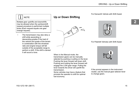# **NOTE**

Multiple gear upshifts and downshifts may be allowed when the up/downshift request procedure is performed multiple times (Each request equals one gear change request).

• The transmission may also deny a shift while ascending or descending grades if the load of the vehicle and grade of the terrain in combination with the drivetrain ratio and engine torque will fall outside of the acceptable range to perform a shift. If the shift is denied it will sound a tone.

# **Up or Down Shifting**



When in the Manual mode, the transmission gears can be manually selected by pushing or pulling on the lever. Pushing the lever forward will down shift. Pushing and holding the lever forward will engage the LOW gear range. Pulling the lever towards the driver will upshift the transmission.

Some vehicles may have a feature that prompts the operator to shift for optimal fuel economy.

#### For Kenworth Vehicle with Shift Assist



#### For Peterbilt Vehicles with Shift Assist

If the prompt appears in the instrument cluster, use the manual gear selector lever to change gears.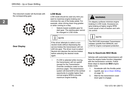The instument cluster will illuminate with the corresponding gear.



**Gear Display**



#### **LOW Mode**

LOW mode should be used any time you want to maximize engine braking and minimize the use of the brake pedal. For example, when driving down long grades or when coming to a stop.

Selects lowest available gear for start gear. The starting gear cannot be changed in LOW mode.

# **NOTE**

If the driver attempts to select a nonneutral mode without depressing the service brakes the transmission will not shift into gear. The driver must re-select Neutral and depress the service brakes before selecting the desired mode again.

If LOW is selected while moving. the transmission will not upshift (except for the Transmission Override conditions noted on the previous page). The transmission system will downshift at the earliest opportunity to enable higher than normal engine RPM to provide maximum engine braking.

# **WARNING**

On slippery surfaces minimize engine braking in LOW mode. Excessive engine braking at higher engine RPM could cause a loss of traction and vehicle control.



The PACCAR Automated Transmission initiates upshifts from MANUAL and LOW for engine overspeed protection.

#### **How to Deactivate MAX Mode**

Vehicles with automated transmissions will have the engine brake function integrated with the transmission controls. Follow these steps to deactivate **MAX** engine brake mode.

- 1. Accelerate with the throttle pedal.
- 2. Upshift, see *Up or Down Shifting* on page 15.
- 3. Wait for the transmission coast down gear to engage.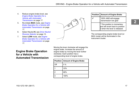- 4. Reduce engine brake level, see *Engine Brake Operation for a Vehicle with Automated Transmission* on page 17.
- 5. Re-initiate **MAX** mode, see *Engine Brake Operation for a Vehicle with Automated Transmission* on page 17.
- 6. Select Neutral **N**, see *Drive Neutral Reverse Selector* on page 13.
- 7. Select **LOW** mode, see *Engine Brake Operation for a Vehicle with Automated Transmission* on page 17.

**Engine Brake Operation for a Vehicle with Automated Transmission** Moving the lever clockwise will engage the engine brake. Increase the amount of engine brake by moving the lever further clockwise. Each position has a corresponding level of engine brake.

|     | Position   Amount of Engine Brake |  |  |  |
|-----|-----------------------------------|--|--|--|
| Off | $0\%$                             |  |  |  |
|     | 33%                               |  |  |  |
|     | 66%                               |  |  |  |
|     | 100%                              |  |  |  |

| Position   Amount of Engine Brake                                                                 |
|---------------------------------------------------------------------------------------------------|
| 100% AND will engage<br>transmission low gear                                                     |
| * This position is momentary<br>and will revert back to position<br>3 when the lever is released. |

The corresponding engine brake level (or MAX mode) will be illuminated in the instrument cluster.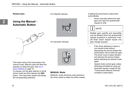**Related tasks**

For Peterbilt Vehicles

# **Using the Manual - Automatic Button**



For Kenworth Vehicles



This button will put the transmission into manual mode. Manual mode will allow the operator to select the gear. See *Up or Down Shifting* on page 15.

To activate, put the gear selector in the **D** (drive) mode and then depress the **M/A** button. The instrument cluster will display the corresponding selection.

#### **MANUAL Mode**

MANUAL mode should be used whenever the driver wants to select the shifts instead of letting the transmission select them automatically.

• Driver manually selects the start gear and uses the up/downshift request to shift.



Multiple gear upshifts and downshifts may be allowed when the up/downshift request procedure is performed multiple times (Each request equals one gear change request).

- If the driver attempts to select a non-neutral mode without depressing the service brakes the transmission will not shift into gear. The driver must re-select Neutral and depress the service brakes before selecting the desired mode again.
- System holds current gear unless otherwise prompted by using up/ downshift request, except for the "Transmission Manual Override" conditions noted below.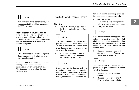# **NOTE**

For optimal vehicle performance, it is recommended the vehicle be operated in "D" Drive mode.

#### **Transmission Manual Override**

If the vehicle is being back-driven and the engine is approaching a higher than normal RPM level, the transmission system will override the MANUAL position and perform an upshift.

# **NOTE**

The transmission initiates upshifts from MANUAL and LOW for engine overspeed protection.

If the start gear is changed and it causes the engine to lug at takeoff, the transmission system will override the MANUAL position and select the best available gear.

# **Start-Up and Power Down**

#### **Start-Up**

1. Ensure **N**, Neutral, is selected on the Transmission Driver Interface Device.

# **NOTE**

The transmission will not allow the engine to crank if a mode other than Neutral is selected, on Transmission Driver Interface Device, when attempting to start the engine.

2. Turn the ignition key to "ON" and allow the PACCAR Automated Transmission to power-up.

# **NOTE**

Engine cranking is delayed until the transmission power-up is complete and the gear display shows a solid **N**. If Neutral, **N**, is not shown in the gear display, ensure that the vehicle air system is at normal operating range before attempting to start the vehicle.

- 3. Start the engine.
- 4. Allow vehicle air system pressure to build to normal operating range.
- 5. Apply service brake.



If the service brake is not applied while selecting a starting gear, the initial start gear will not be engaged and the driver will have to reselect Neutral and press the brake while re-selecting the desired mode.

6. Select the desired mode and starting gear on the Transmission Driver Interface Device.



The transmission will override inappropriate start gear selections to avoid driveline damage.

- 7. Release the vehicle parking brakes.
- 8. Release service brake and Urge to Move will allow the vehicle to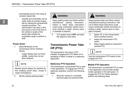automatically launch and creep at constant engine idle.

• Upshifts and downshifts can be made while at constant engine idle by utilizing the up/downshift request procedure. The transmission may deny a shift and sound a tone if the load of the vehicle or grade of the terrain falls outside the acceptable range to perform a shift.

#### **Power Down**

- 1. Select **N** Neutral on the Transmission Driver Interface Device.
	- If gear display does not show solid**N** , neutral has not yet been obtained.

# NOTE

Neutral should always be reached before initiating power down, except in cases of emergency.

2. Set the vehicle parking brakes.

# **WARNING**

Apply parking brake and follow vehicle manufacturer parking instructions. Failure to follow these instructions could cause unintended vehicle movement resulting in death, serious injury or damage to property.

3. Turn ignition key to **OFF** and allow the engine to shut down.

# **Transmission Power Take Off (PTO)**

The transmission may have a PTO installed. Engaging the PTO differs if it is operating in either a mobile or a stationary application.

#### **Stationary PTO Operation**

The transmission countershaft PTO is used in this application. To engage the PTO for stationary operation, perform the following steps:

1. Bring the vehicle to a complete stop and apply the parking brake.

# **WARNING**

Apply parking brake and follow vehicle manufacturer parking instructions. Failure to follow these instructions could cause unintended vehicle movement resulting in death, serious injury or damage to property.

- 2. Select "N" on the Transmission Driver Interface Device.
- 3. Select the transmission PTO switch.
- 4. Raise engine speed as required to operate PTO.



Use the transmission PTO switch to disengage the PTO.

#### **Mobile PTO Operation**

The transmission countershaft PTO is used in this application and provides limited mobile operation in the start gears. To engage the PTO for mobile operation, perform the following steps: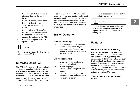- 1. Bring the vehicle to a complete stop and depress the service brake.
- 2. Select "N" on the Transmission Driver Interface Device.
- 3. Select the transmission PTO switch.
- 4. Select "Drive" or "Reverse" as required for vehicle movement.
- 5. Release the service brake to engage the clutch and the PTO.
- 6. Raise engine speed as required to operate PTO.

# **NOTE**

Use the transmission PTO switch to disengage the PTO.

# **Snow/Ice Operation**

The PACCAR Automated Transmission is designed to work in coordination with the ATC system to ensure optimal operation. However, if the driver observes low friction road conditions (snow, rain, ice, etc.) and does not want the transmission to shift, risking wheel slippage, the driver should

select MANUAL mode. MANUAL mode holds the current gear position under most operating conditions- the transmission will only shift when the driver uses the up/ downshift request. Once road conditions improve, the driver should revert back to Drive mode.

# **Trailer Operation**

#### **Trailer Connecting**

- Prior to backing under the trailer. ensure proper trailer height.
- Use Low mode (1st gear) for forward direction and Reverse (R1) for reverse direction.

#### **Sliding Trailer Axle**

- Ensure axle rails and locks are properly maintained.
- Follow proper procedure for unlocking and sliding the trailer axles.
- Use Low mode (1st gear) for forward direction and Reverse (R1) for reverse direction.

• Avoid repeat attempts if the sliding axle is not moving.



If repeat attempts are made and the automated clutch starts to overheat, the display will indicate "CA" along with a warning tone.

#### **Features**

#### **Hill Start Aid Operation (HSA)**

Hill Start Aid defaults to the "On" position. In PACCAR Automated Transmissions, it can be turned "Off" by pressing and releasing the Hill Start Aid switch, however, it will turn back on after the first successful launch. If the switch is turned off, the lamp in the Hill Start switch will flash. The grade at which Hill Start Aid is active is defaulted to 1% but can be configured to activate on a 2% or 3% grade.

#### **Vehicle Facing Uphill – Forward Mode**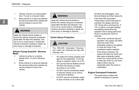- 1. Vehicle must be on incline greater than 1% and in a forward mode.
- 2. Bring vehicle to a stop and depress the service brakes then release the service brakes to launch the vehicle.

**WARNING**

Apply the vehicle service brakes or launch the vehicle using the accelerator pedal after Hill Start Aid releases. Failure to do so could result in unintended vehicle movement resulting in death, serious injury or damage to property.

#### **Vehicle Facing Downhill - Reverse Mode**

- 1. Vehicle must be on a decline greater than 1% and in Reverse mode.
- 2. Bring vehicle to a stop and depress the service brakes then release the service brakes to launch the vehicle.



Apply the vehicle service brakes or launch the vehicle using the accelerator pedal after Hill Start Aid releases. Failure to do so could result in unintended vehicle movement resulting in death, serious injury or damage to property.

#### **Clutch Abuse Protection**

**CAUTION**

The PACCAR Automated Transmission clutch can overheat and slip with improper use.

- DO select the lowest possible start gear for the application. If moving slowly is required, select 1st or R1.
- DO use the Service Brakes and let Hill Start Aid assist you when launching on an incline.
- Do NOT use the accelerator pedal to hold the vehicle on an incline. (Use Service Brakes).
- Do NOT use the accelerator pedal to stop roll back on an incline after

Hill Start Aid disengages. (Use Service Brakes and then relaunch).

- If the PACCAR Automated Transmission clutch does start to overheat, the display will show "CA" along with a warning tone. If "CA" is active in the gear display, immediately discontinue the operation that is being performed which is causing the clutch to overheat.
	- If the driver continues abusive operation, the system will either open the clutch if the accelerator pedal is not applied or close the clutch if the accelerator pedal is applied.
	- If the abuse continues, the system will open the clutch and take away accelerator pedal control for a short period of time to allow the clutch to cool down. Urge to Move may be inoperable when the clutch is overheated.

#### **Engine Overspeed Protection**

The transmission system will upshift if necessary to prevent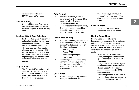engine overspeed in Drive, MANUAL and LOW modes.

#### **Shuttle Shifting**

Shuttle shifting from Reverse to any forward mode is only allowed if the vehicle speed is approximately zero.

#### **Intelligent Start Gear Selection**

- Intelligent Start Gear Selection will automatically select the start gear depending on inputs such as load, grade and axle/transmission ratio.
- The start gear selection can be changed using the up/downshift request, however, if the selection requested could cause damage or engine lugging the request will be denied and an audible tone will sound.

#### **Skip Shifting**

• The Automated Transmission will shift multiple gears at one time (skip shift) with moderate to high accelerator pedal input while in Drive mode, up to 8th gear.

#### **Auto Neutral**

- The transmission system will automatically shift to neutral if the vehicle is left in Drive and the parking brakes are set.
- "AN" will appear in the gear display. The driver must then select the desired forward or reverse mode with the service brake applied.

#### **Load Based Shifting**

- The transmission system will adapt to the conditions of the vehicle to change the shift points based on the followings inputs:
	- Vehicle grade
	- Engine RPM
	- Accelerator pedal position
	- Vehicle load
- After changing loads or powering up the transmission system needs to relearn these inputs for the first few shifts to make the proper adjustments.

#### **Coast Mode**

• When coasting to a stop, in Drive mode, on level terrain the

transmission system may not downshift into lower gears. This allows the transmission to coast to a stop.

#### **Cruise Control**

This transmission system is compatible with cruise control.

#### **Neutral Coast Mode**

Neutral Coast Mode allows the transmission to disengage the driveline by pulling out of gear on slight downhill grades, where little to no engine power is required, when the vehicle is in cruise control and the transmission is in Drive mode.

- When Neutral Coast Mode is active, the engine will drop to idle speed and the transmission will disengage.
- The gear display may flash a gear number or indicate Neutral when Neutral Coast Mode is active, depending upon specific OEM implementation.
- If a flashing number is indicated in the gear display, this represents the gear that the transmission will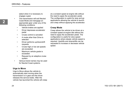select when it is necessary to engage a gear.

- The transmission will exit Neutral Coast Mode and reengage an appropriate gear under any of the following conditions:
	- Vehicle brakes are applied
	- Driver depresses accelerator pedal
	- Cruise control is canceled
	- A mode other than Drive is selected
	- Driver performs up/downshift requests
	- Cruise high or low set speeds are exceeded
	- Maximum vehicle grade is exceeded
	- Request by an adaptive cruise system
- Various brand names may be used for Neutral Coast systems.

#### **Urge to Move**

Urge to Move allows the vehicle to automatically start moving when the transmission is in gear and the driver releases the service brake. After the vehicle has launched the vehicle will creep at a constant speed at engine idle without the need to apply the accelerator pedal. The configuration is useful for stop and go applications allowing the vehicle to launch and creep without applying the accelerator.

#### **Creep Mode**

Creep allows the vehicle to be driven at a constant speed at engine idle without the need to apply the accelerator pedal. The configuration is useful for slow speed applications where steady vehicle speed is required. Upshifts and downshifts can be requested to increase or decrease vehicle speed.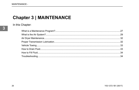# **Chapter 3 | MAINTENANCE**

In this Chapter: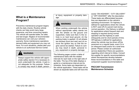# **What is a Maintenance Program?**

Preventive maintenance program begins with the daily checks. Routine vehicle checks can help avoid many large, expensive, and time consuming repairs. The vehicle will operate better, be safer, and last longer. Neglect of recommended maintenance can void your vehicle's warranty. Some maintenance operations demand skills and equipment you may not have. For such situations, please take your vehicle to an authorized Service Center.

# **WARNING**

Always support the vehicle with appropriate safety stands if it is necessary to work underneath the vehicle. A jack is not adequate for this purpose. Failure to comply may result in death, personal injury, equipment or property damage.

# **WARNING**

When working underneath the vehicle without appropriate safety stands but with the wheels on the ground (not supported), make sure that (1) the vehicle is on hard level ground, (2) the parking brake is applied, (3) all wheels are blocked (front and rear) and (4) remove the ignition key so that the engine cannot be started. Failure to comply may result in death, personal injury, equipment or property damage.

The following pages contain a table of maintenance tasks with the related intervals for each task on the right side of the table. The top of the table displays a guide to a maintenance interval and its schedule. Some tasks are dependent on the vehicle application. These tasks will be shown as separate tasks and will have the

words "ON HIGHWAY", "CITY DELIVERY" or "OFF-HIGHWAY" after the description. These tasks are differentiated because they are dependent on the vehicle's operating environment. On highway is defined for applications where the vehicle is NOT used off of a paved road during normal operation. City Delivery is defined for applications where frequent start and stopping is required during normal operation and the highway is used infrequently and for short periods of time. Off highway is defined for applications where the vehicle may be driven off the pavement on a regular basis, even if it is an infrequent basis and/or for a brief time period. Please contact an authorized service dealership if there are questions regarding which interval to follow. Consult the supplier for specific recommendations where discrepancies develop between these recommendations in this table and component supplier recommendations.

#### **PACCAR Transmission Maintenance Schedule**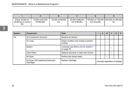| At first 15,000 mi/<br>24,000 km or at first<br>РM | 15,000 mi/24,000<br>km/Monthly | 30,000 mi/48,000<br>km | 60,000 mi/96,000<br>km/ 6 Months | km/ Annually | 120,000 mi/ 192,000   240,000 mi/ 384,000  <br><sub>km</sub> |
|----------------------------------------------------|--------------------------------|------------------------|----------------------------------|--------------|--------------------------------------------------------------|

| <b>System</b> | <b>Component</b>                                  | <b>Task</b>                                           | A                              | в         | С | D | Е |
|---------------|---------------------------------------------------|-------------------------------------------------------|--------------------------------|-----------|---|---|---|
| Air           | Air Compressor Governor                           | Replace air strainer.                                 |                                | $\bullet$ |   |   |   |
|               | Air Lines                                         | Check condition and routing to prevent<br>chafing.    |                                |           |   |   |   |
|               | System                                            | Lubricate; see What is the Air System?<br>on page 29. |                                |           |   |   |   |
|               | Inline Filters                                    | Replace elements or clean with solvent.               |                                |           |   |   |   |
|               | Air Dryer                                         | Perform the checks listed.                            |                                |           |   |   |   |
|               | Air Dryer (Oil-Coalescing Desiccant<br>Cartridge) | Replace Cartridge                                     | Annually regardless of mileage |           |   |   |   |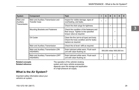| System                | <b>Component</b>                                            | Task                                                                                                            |                           | А | в |  | D | Е |
|-----------------------|-------------------------------------------------------------|-----------------------------------------------------------------------------------------------------------------|---------------------------|---|---|--|---|---|
| Main and<br>Auxiliary | Main and Auxiliary Transmission and<br><b>Transfer Case</b> | Inspect for visible damage, signs of<br>overheating, and leaks.                                                 |                           |   |   |  |   |   |
| Transmission          |                                                             | Check the drain plugs for tightness.                                                                            |                           |   | ٠ |  |   |   |
|                       | Mounting Brackets and Fasteners                             | Check the condition of the fasteners and<br>their torque. Tighten to the specified<br>torque value as required. |                           |   |   |  |   |   |
|                       | Oil Cooler                                                  | Clean the fins (air-to-oil type) and body.<br>Check the hose condition and for leaks:<br>replace as required.   |                           |   |   |  |   |   |
|                       | Main and Auxiliary Transmission                             | Check the oil level: refill as required.                                                                        |                           |   |   |  |   |   |
|                       | Main and Auxiliary Transmission (ON<br>HIGHWAY)             | Drain lubricant while warm. Flush each<br>unit with clean flushing oil.                                         | 500,000 miles/ 800,000 km |   |   |  |   |   |
|                       | Main and Auxiliary Transmission (OFF<br>HIGHWAY)            | Drain lubricant while warm. Flush each<br>unit with clean flushing oil.                                         |                           |   |   |  |   |   |

#### **Related concepts Related reference**

The operation of the vehicle's braking system and many vehicle accessories depends upon the storage and application of a high-pressure air supply.

### **What is the Air System?**

Important safety information about your vehicle's air system.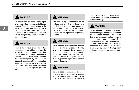# **WARNING**

Do not attempt to modify, alter, repair or disconnect any component of the air system. Repairs or modifications to the air system, other than what is described in this section, should only be performed by an authorized dealer. Failure to comply may result in death or personal injury.



Prior to the removal of any air system component, always block and hold the vehicle by a secure means other than the vehicle's own brakes. Depleting air system pressure may cause the vehicle to roll unexpectedly resulting in an accident causing death or personal injuries. Keep hands away from chamber push rods and slack adjusters, they may apply as system pressure drops.

### **WARNING**

After completing any repairs to the air system, always test for air leaks, and check the brakes for safe operation before putting the vehicle in service. Failure to comply may result in death, personal injury, equipment or property damage.

# **WARNING**

Never connect or disconnect a hose or line containing air pressure. It may whip as air escapes. Never remove a component or pipe plug unless you are certain all system pressure has been depleted. Failure to comply may result in death, personal injury, equipment or property damage.

### **WARNING**

Never exceed recommended air pressure and always wear safety glasses when working with air pressure. Never look into air jets or direct them at anyone. Failure to comply may result in death, personal injury, equipment or property damage.



Never attempt to disassemble a component until you have read and understood recommended procedures. Some components contain powerful springs and injury can result if not properly disassembled. Use only proper tools and observe all precautions pertaining to use of those tools. Failure to comply may result in death, personal injury, equipment or property damage.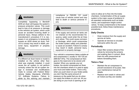# **WARNING**

Completely bypassing a Bendix® ADIS air dryer will bypass the system's pressure protection valves. This could lead to loss of air pressure or damage to the vehicle's air system, which could cause an accident involving death or personal injury. Always adhere to the manufacturer's procedure if it is necessary in an emergency to temporarily bypass an ADIS series air dryer. Failure to comply may result in death, personal injury, equipment or property damage.

# **WARNING**

If a different air dryer brand or model is installed on the vehicle other than what was originally installed, it could cause the air system to not perform correctly unless the full air system design is reviewed and modifications made to comply with Federal Motor Vehicle Safety Standards (FMVSS) 121 AirBrake Systems. Failure to abide by this warning and maintain compliance to FMVSS 121 could cause loss of vehicle control and may lead to death or serious personal injury.

# **WARNING**

If the supply and service air tanks are not drained at the recommended frequency, water could enter the air lines and valves. This could cause corrosion or blockage, which could compromise the brake system safety and potentially cause an accident. Failure to comply may result in death, personal injury, equipment or property damage.

Your vehicle's compressor takes outside air and compresses it, usually to 100-120 psi (689-827 kPa). The compressed air then goes to the reservoirs to be stored until needed. When you operate your air brakes, the stored compressed air flows into the chambers where it is used to apply your truck and trailer brakes. That is why, when you push down on your brake pedal, you don't feel the same amount of pressure on the pedal that you do when you apply the brakes on your car. All you are doing on your truck is opening an air

valve to allow air to flow into the brake chambers. Contamination of the air supply system is the major cause of problems in air-operated components such as brake valves, and suspension height control valves. To keep contaminants to the lowest possible level, follow these maintenance procedures.

#### **Daily Checks**

- Drain moisture from the supply and service air tanks.
- Operate air devices to circulate lubricants within the unit.

#### **Periodically**

• Clean filter screens ahead of the valves by removing the screens and soaking them in solvent. Blow them dry with pressurized air before reinstalling them.

#### **Twice a Year**

- Maintain the air compressor to prevent excessive oil by-pass. See your maintenance manual for details.
- Replace worn seals in valves and air motors as they are needed.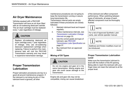### **Air Dryer Maintenance**

Vehicles equiped with a PACCAR Transmission will have an air dryer fitted with an oil-coalescing desiccant cartride. This air dryer cartridge must be replaced every 1 year regardless of mileage.

**CAUTION**

Replace oil-coalescing desiccant air dryer cartridge every 1 year regardless of mileage. Only use oil-coalescing desiccant replacement cartridge when replacing. Failure to perform this maintenance task will void the PACCAR Transmission warranty and may result in expensive transmission damage.

# **Proper Transmission Lubrication**

Proper lubrication procedures are key to a good all-around maintenance program. If the lubricant is not doing its job or if the lubricant level is ignored, all other

maintenance procedures are not going to keep the transmission running or assure long transmission life.

Transmission internal parts are amply lubricated if these procedures are closely followed:

- 1. Maintain lubricant level and inspect regularly.
- 2. Follow maintenance intervals, see *Transmission Lubrication Change Intervals* on page 33.
- 3. Use the correct grade and type of lubricant, see *PACCAR Transmission Lube Specification* on page 37.
- 4. Buy lubricant from an approved dealer.

#### **Mixing of Oil Types**



**CAUTION**

Do not mix engine and gear oil in the same transmission. Mixing engine and gear oils could cause damage to the transmission.

Engine oils and gear oils may not be compatible; mixing can cause breakdown of the lubricant and affect component performance. When switching between types of lubricants, all areas of each affected component must be thoroughly flushed.



For a list of Approved Synthetic Lubricants, see vehicle operator manual.



Additives and friction modifiers must not be introduced.

#### **Proper Transmission Lubrication Level**

Make sure the transmission lubricant is level with the bottom of the fill opening. Being able to reach the lubricant with your finger does not mean the lubricant is at the proper level.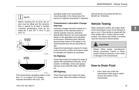# **NOTE**

Before checking the oil level, the engine must be idling and the transmission in neutral for at least 2 minutes. Lubricant temperature must be between 60 °F and 120 °F (15.5 °C and 48.8 °C).





If the transmission operating angle is more than 12° (or roughly a 21% grade), improper lubrication will occur. The

operating angle is the transmission mounting angle in the chassis plus the percent of upgrade (expressed in degrees).

#### **Transmission Lubrication Change Intervals**

Lubricant changes should be based on a combination of the intervals shown in vehicle operator manual Lubrication Specification Manual, and user judgment based on the application and operating environment. Extending drain intervals beyond those shown in the tables is not recommended and will put warranties at risk.

Inspect the transmission exterior for leaks. Look around the oil filter and exterior seals for damage and replace as necessary.

#### **On-Highway**

4013050a

Check fluid levels and inspect for leaks at regular PM maintenance intervals, not to exceed 12,000miles. Drain and replace lubricant every 500,000 miles / 800,000 km.

#### **Off-Highway**

Check fluid levels and inspect for leaks every week. Drain and replace lubricant interval should not exceed 60,000 mi / 96,000 km / 6 Months.

# **Vehicle Towing**

When towing the vehicle, the output shaft of the transmission must not be allowed to spin or turn. If the vehicle is towed with the drive wheels still in contact with the road surface, the vehicle axle shafts or driveline must be removed or disconnected.



Always follow proper manufacturer towing procedures. Failure to follow proper towing procedures could result in damage to the transmission.

# **How to Drain Fluid**

1. Use a drain pan under the transmission drain plug to collect oil from the bottom of the transmission.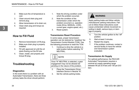- 2. Make sure the oil temperature is cool.
- 3. Clean around drain plug and remove plug.
- 4. Allow transmission oil to drain out.
- 5. Clean drain plug and torque as required.

#### **How to Fill Fluid**

- 1. Remove transmission oil fill plug.
- 2. Make sure drain plug is properly installed.
- 3. Fill with approved oil until the oil starts flowing out the fill hole.
- 4. Clean, install, and properly and torque fill plug.

# **Troubleshooting**

#### **Diagnostics**

In the event there is a problem with an Automated Transmission, there are three primary tasks the driver should perform:

- 1. Note the driving condition under which the problem occurred.
- 2. Note the condition of the transmission under which the problem occurred (i.e. operation mode (Drive, MANUAL, LOW), current gear, engine speed, etc.).
- 3. Reset system.

#### **Transmission Reset Procedure**

In some cases, proper transmission operation can be restored by "resetting" the Transmission Control Module (TCM). Use the following procedure to reset the TCM.

1. Continue to drive the vehicle to a safe location before selecting "N" **NEUTRAL** 

# **NOTE**

Once "N" NEUTRAL is selected, a gear engagement may not be allowed depending on the nature of the problem.

- 2. Place the Transmission Driver Interface Device in Neutral "N".
- 3. Set the vehicle parking brake.

# **WARNING**

Apply parking brake and follow vehicle manufacturer parking instructions. Failure to follow these instructions could cause unintended vehicle movement resulting in death, serious injury or damage to property.

- 4. Turn the vehicle ignition to the "off" position.
- 5. Wait at least 2 minutes.
- 6. Restart the engine.
- 7. If the problem continues, contact a service facility to have the vehicle and transmission system evaluated.

#### **Transmission Air Supply**

For optimal performance, the PACCAR Automated Transmission requires a nominal air supply operating range between 90 psi (5.9 bar) and 130 psi (9.0 bar).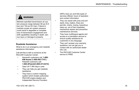# **WARNING**

Maintain specified transmission air system pressure range between 90 psi (5.9 bar) and 130 psi (9.0 bar). Failure to maintain proper air system pressure could result in degraded or complete loss of transmission engagement and shift capabilities resulting in death, serious injury or damage to property.

#### **Roadside Assistance**

What to do in an emergency and roadside assistance information.

Call toll-free to talk to someone at the PACCAR Customer Center:

- Kenworth customers call: **1-800- KW-Assist (1-800-592-7747)** | Peterbilt customers call: **1-800-4Peterbilt (800-473-8372)**
- Open 24-7-365 days a year.
- They can help you get roadside assistance.
- They have a custom mapping system which locates authorized PACCAR engine dealers and Independent Service Providers

(ISPs) near you and lists types of services offered, hours of operation and contact information.

- They can assist with jump and pull starts, tires, trailers, fines and permits, chains, towing, hazardous clean-up, out of fuel (roadside), mechanical repairs and preventive maintenance services.
- They have multilingual agents and access to a translation service to ensure quality assistance for customers in any language.
- They can't answer your warranty questions, but can get you in contact with an authorized dealer who can.
- The PACCAR Customer Center service is FREE.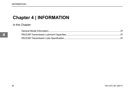# **Chapter 4 | INFORMATION**

In this Chapter: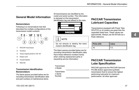# **General Model Information**

#### **Nomenclature**

Following is a nomenclature tree that describes the multiple configurations of the transmission model numbers:



- **1** PACCAR Transmission
- **2** Overdrive
- **3** Torque Capacity (ft-lb)  $\# \times 100 + 50$
- **4** Design Level
- **5** Forward Speeds
- **6** Ratio Set

#### **Transmission Identification Nomenclature**

The blank spaces provided below are for recording transmission identification data and part numbers of maintenance items.

All transmissions are identified by the model and serial number. This information is stamped on the transmission identification tag and affixed to the case.



#### **NOTE**

Do not remove or destroy the transmission identification tag.

The blank spaces provided below are for recording transmission identification data. Have these reference numbers handy when ordering replacement parts or requesting service information:

Transmissio n Model

Transmisiso n Serial Number

# **PACCAR Transmission Lubricant Capacities**

Transmissions equipped with Power Take Off (PTO) or oil coolers are great than the capacities listed here. These values are approximate. Always use the fill hole as a finale reference.

| Pints (US) | <b>Liters</b> |
|------------|---------------|
| 16         | $\cdot$       |

# **PACCAR Transmission Lube Specification**

PACCAR approves the PACCAR Genuine PS-386 (Eaton approved) synthetic transmission fluid to ensure the highest performing lubricants for maximum performance. All other approved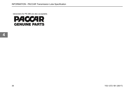rebranders for PS-386 are also acceptable.

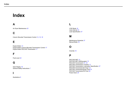# **Index**

# **A**

Air Dryer Maintenance *32*

#### **C**

Column Mounted Transmission Control *13*, *15*, *18*

### **E**

Engine Brake *13* Engine Brake Column Mounted Transmission Control *17* Engine Brake PACCAR Transmission *17*

## **F**

Fluid Level *32*

### **G**

Gear Display *16* General Safety Instructions *7*

#### **I**

Illustrations *6*

LOW Mode *16* Lube Interval *33* Lube Specification *37*

#### **M**

**L**

Maintenance Schedule *27* Manual Mode *18*

# **O**

Override *19*

#### **P**

PACCAR AMT *13* PACCAR AMT Shifting gears *15* PACCAR Transmission *27*, *33* PACCAR Transmission Controls *13* PACCAR Transmission Lubrication Specification *37* PACCAR TransmissionAir Dryer *32* PACCAR TransmissionDrain Fluid *33* PACCAR TransmissionFill Fluid *34* Power Down *20*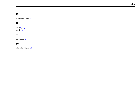# **R**

Roadside Assistance *35*

# **S**

Safety *5* Safety Alerts *5* Start up *19*

### **T**

Transmission *32*

### **W**

What is the Air System *29*